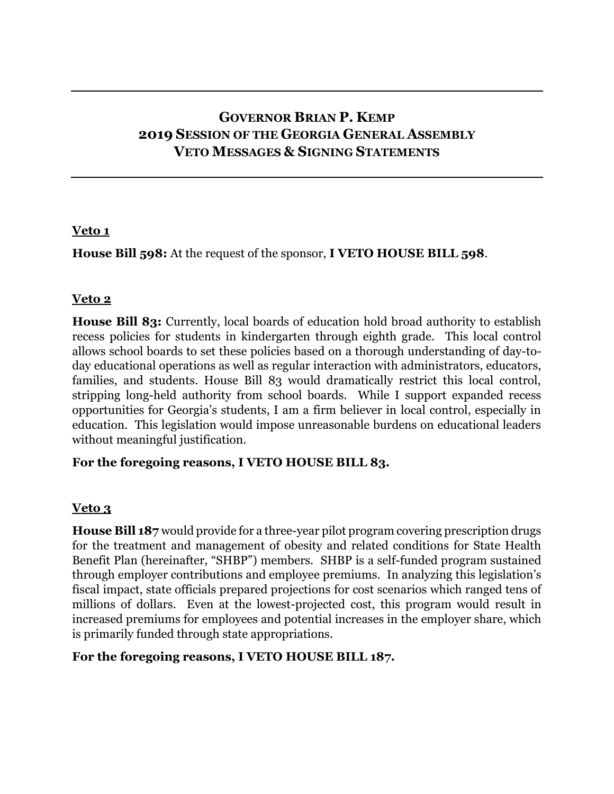# **GOVERNOR BRIAN P. KEMP 2019 SESSION OF THE GEORGIA GENERAL ASSEMBLY VETO MESSAGES & SIGNING STATEMENTS**

### **Veto 1**

**House Bill 598:** At the request of the sponsor, **I VETO HOUSE BILL 598**.

# **Veto 2**

**House Bill 83:** Currently, local boards of education hold broad authority to establish recess policies for students in kindergarten through eighth grade. This local control allows school boards to set these policies based on a thorough understanding of day-today educational operations as well as regular interaction with administrators, educators, families, and students. House Bill 83 would dramatically restrict this local control, stripping long-held authority from school boards. While I support expanded recess opportunities for Georgia's students, I am a firm believer in local control, especially in education. This legislation would impose unreasonable burdens on educational leaders without meaningful justification.

#### **For the foregoing reasons, I VETO HOUSE BILL 83.**

# **Veto 3**

**House Bill 187** would provide for a three-year pilot program covering prescription drugs for the treatment and management of obesity and related conditions for State Health Benefit Plan (hereinafter, "SHBP") members. SHBP is a self-funded program sustained through employer contributions and employee premiums. In analyzing this legislation's fiscal impact, state officials prepared projections for cost scenarios which ranged tens of millions of dollars. Even at the lowest-projected cost, this program would result in increased premiums for employees and potential increases in the employer share, which is primarily funded through state appropriations.

#### **For the foregoing reasons, I VETO HOUSE BILL 187.**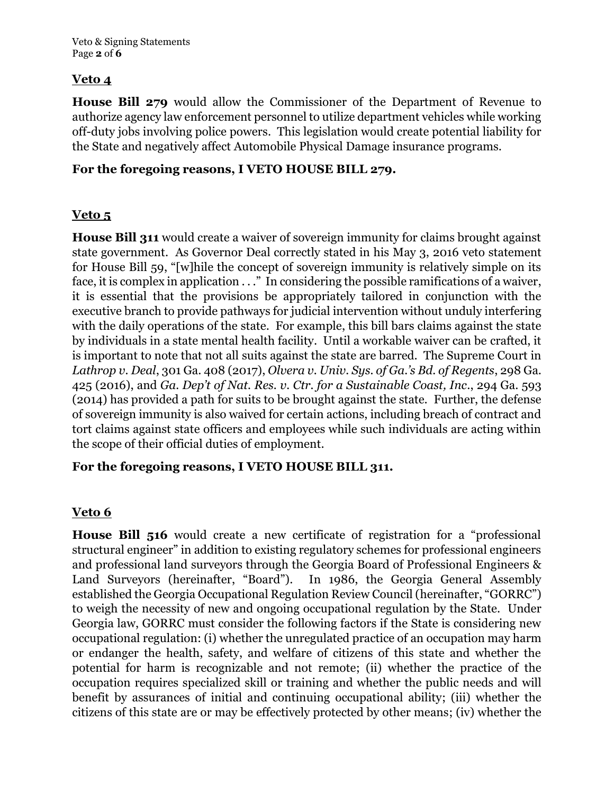# **Veto 4**

**House Bill 279** would allow the Commissioner of the Department of Revenue to authorize agency law enforcement personnel to utilize department vehicles while working off-duty jobs involving police powers. This legislation would create potential liability for the State and negatively affect Automobile Physical Damage insurance programs.

#### **For the foregoing reasons, I VETO HOUSE BILL 279.**

### **Veto 5**

**House Bill 311** would create a waiver of sovereign immunity for claims brought against state government. As Governor Deal correctly stated in his May 3, 2016 veto statement for House Bill 59, "[w]hile the concept of sovereign immunity is relatively simple on its face, it is complex in application . . ." In considering the possible ramifications of a waiver, it is essential that the provisions be appropriately tailored in conjunction with the executive branch to provide pathways for judicial intervention without unduly interfering with the daily operations of the state. For example, this bill bars claims against the state by individuals in a state mental health facility. Until a workable waiver can be crafted, it is important to note that not all suits against the state are barred. The Supreme Court in *Lathrop v. Deal*, 301 Ga. 408 (2017), *Olvera v. Univ. Sys. of Ga.'s Bd. of Regents*, 298 Ga. 425 (2016), and *Ga. Dep't of Nat. Res. v. Ctr. for a Sustainable Coast, Inc*., 294 Ga. 593 (2014) has provided a path for suits to be brought against the state. Further, the defense of sovereign immunity is also waived for certain actions, including breach of contract and tort claims against state officers and employees while such individuals are acting within the scope of their official duties of employment.

### **For the foregoing reasons, I VETO HOUSE BILL 311.**

# **Veto 6**

**House Bill 516** would create a new certificate of registration for a "professional structural engineer" in addition to existing regulatory schemes for professional engineers and professional land surveyors through the Georgia Board of Professional Engineers & Land Surveyors (hereinafter, "Board"). In 1986, the Georgia General Assembly established the Georgia Occupational Regulation Review Council (hereinafter, "GORRC") to weigh the necessity of new and ongoing occupational regulation by the State. Under Georgia law, GORRC must consider the following factors if the State is considering new occupational regulation: (i) whether the unregulated practice of an occupation may harm or endanger the health, safety, and welfare of citizens of this state and whether the potential for harm is recognizable and not remote; (ii) whether the practice of the occupation requires specialized skill or training and whether the public needs and will benefit by assurances of initial and continuing occupational ability; (iii) whether the citizens of this state are or may be effectively protected by other means; (iv) whether the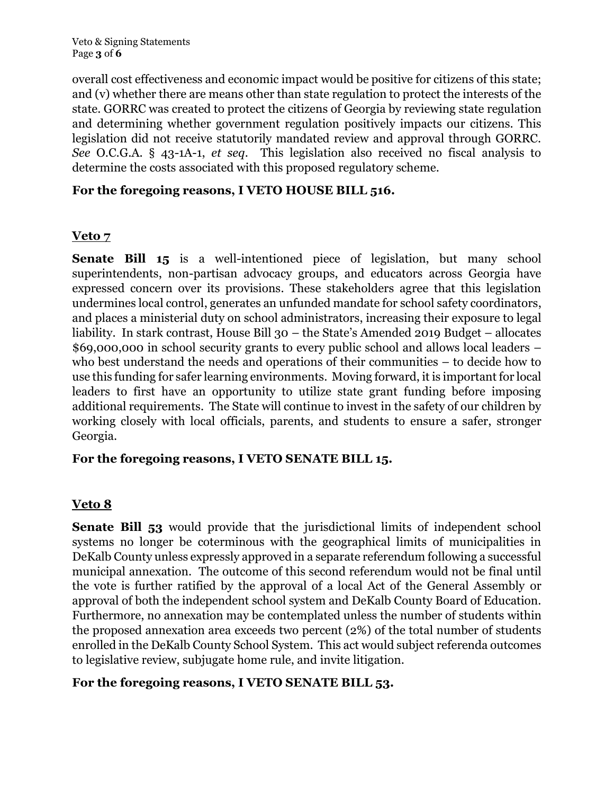Veto & Signing Statements Page **3** of **6**

overall cost effectiveness and economic impact would be positive for citizens of this state; and (v) whether there are means other than state regulation to protect the interests of the state. GORRC was created to protect the citizens of Georgia by reviewing state regulation and determining whether government regulation positively impacts our citizens. This legislation did not receive statutorily mandated review and approval through GORRC. *See* O.C.G.A. § 43-1A-1, *et seq*. This legislation also received no fiscal analysis to determine the costs associated with this proposed regulatory scheme.

### **For the foregoing reasons, I VETO HOUSE BILL 516.**

### **Veto 7**

**Senate Bill 15** is a well-intentioned piece of legislation, but many school superintendents, non-partisan advocacy groups, and educators across Georgia have expressed concern over its provisions. These stakeholders agree that this legislation undermines local control, generates an unfunded mandate for school safety coordinators, and places a ministerial duty on school administrators, increasing their exposure to legal liability. In stark contrast, House Bill 30 – the State's Amended 2019 Budget – allocates \$69,000,000 in school security grants to every public school and allows local leaders – who best understand the needs and operations of their communities – to decide how to use this funding for safer learning environments. Moving forward, it is important for local leaders to first have an opportunity to utilize state grant funding before imposing additional requirements. The State will continue to invest in the safety of our children by working closely with local officials, parents, and students to ensure a safer, stronger Georgia.

#### **For the foregoing reasons, I VETO SENATE BILL 15.**

# **Veto 8**

**Senate Bill 53** would provide that the jurisdictional limits of independent school systems no longer be coterminous with the geographical limits of municipalities in DeKalb County unless expressly approved in a separate referendum following a successful municipal annexation. The outcome of this second referendum would not be final until the vote is further ratified by the approval of a local Act of the General Assembly or approval of both the independent school system and DeKalb County Board of Education. Furthermore, no annexation may be contemplated unless the number of students within the proposed annexation area exceeds two percent (2%) of the total number of students enrolled in the DeKalb County School System. This act would subject referenda outcomes to legislative review, subjugate home rule, and invite litigation.

#### **For the foregoing reasons, I VETO SENATE BILL 53.**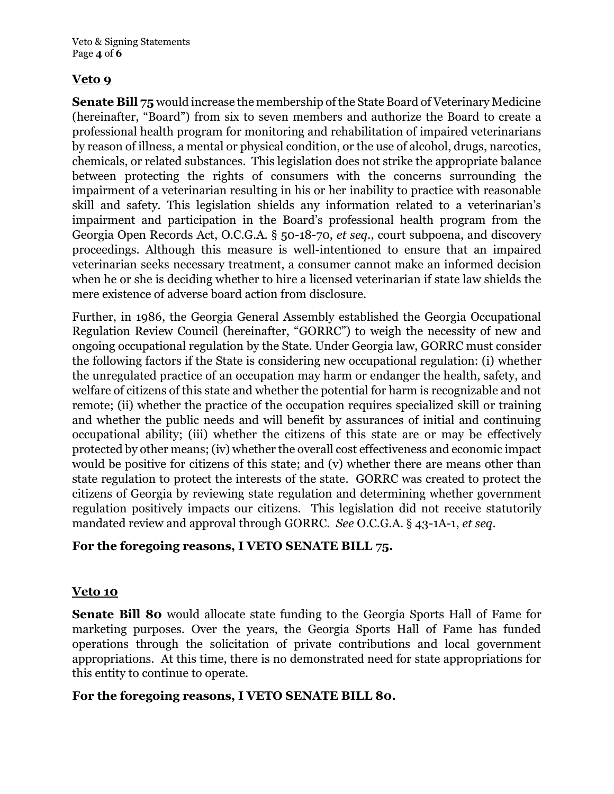Veto & Signing Statements Page **4** of **6**

### **Veto 9**

**Senate Bill 75** would increase the membership of the State Board of Veterinary Medicine (hereinafter, "Board") from six to seven members and authorize the Board to create a professional health program for monitoring and rehabilitation of impaired veterinarians by reason of illness, a mental or physical condition, or the use of alcohol, drugs, narcotics, chemicals, or related substances. This legislation does not strike the appropriate balance between protecting the rights of consumers with the concerns surrounding the impairment of a veterinarian resulting in his or her inability to practice with reasonable skill and safety. This legislation shields any information related to a veterinarian's impairment and participation in the Board's professional health program from the Georgia Open Records Act, O.C.G.A. § 50-18-70, *et seq.*, court subpoena, and discovery proceedings. Although this measure is well-intentioned to ensure that an impaired veterinarian seeks necessary treatment, a consumer cannot make an informed decision when he or she is deciding whether to hire a licensed veterinarian if state law shields the mere existence of adverse board action from disclosure.

Further, in 1986, the Georgia General Assembly established the Georgia Occupational Regulation Review Council (hereinafter, "GORRC") to weigh the necessity of new and ongoing occupational regulation by the State. Under Georgia law, GORRC must consider the following factors if the State is considering new occupational regulation: (i) whether the unregulated practice of an occupation may harm or endanger the health, safety, and welfare of citizens of this state and whether the potential for harm is recognizable and not remote; (ii) whether the practice of the occupation requires specialized skill or training and whether the public needs and will benefit by assurances of initial and continuing occupational ability; (iii) whether the citizens of this state are or may be effectively protected by other means; (iv) whether the overall cost effectiveness and economic impact would be positive for citizens of this state; and (v) whether there are means other than state regulation to protect the interests of the state. GORRC was created to protect the citizens of Georgia by reviewing state regulation and determining whether government regulation positively impacts our citizens. This legislation did not receive statutorily mandated review and approval through GORRC. *See* O.C.G.A. § 43-1A-1, *et seq*.

# **For the foregoing reasons, I VETO SENATE BILL 75.**

#### **Veto 10**

**Senate Bill 80** would allocate state funding to the Georgia Sports Hall of Fame for marketing purposes. Over the years, the Georgia Sports Hall of Fame has funded operations through the solicitation of private contributions and local government appropriations. At this time, there is no demonstrated need for state appropriations for this entity to continue to operate.

#### **For the foregoing reasons, I VETO SENATE BILL 80.**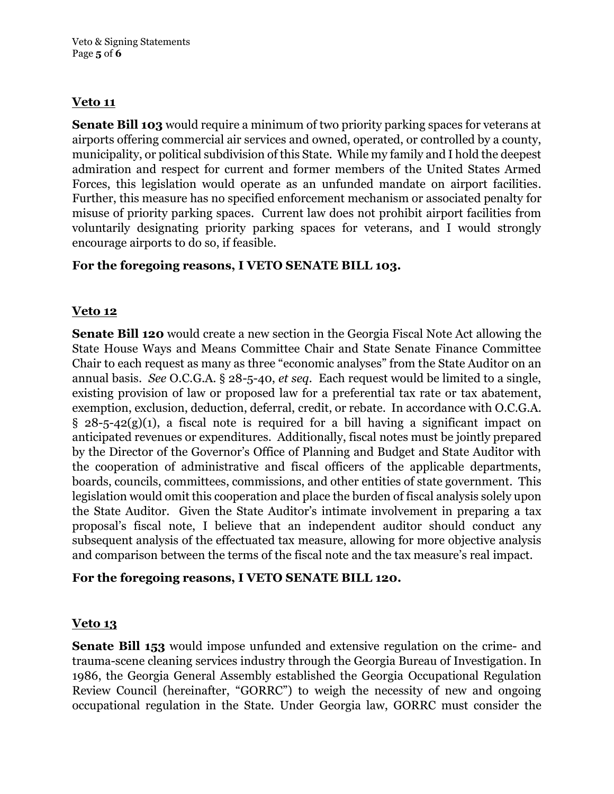# **Veto 11**

**Senate Bill 103** would require a minimum of two priority parking spaces for veterans at airports offering commercial air services and owned, operated, or controlled by a county, municipality, or political subdivision of this State. While my family and I hold the deepest admiration and respect for current and former members of the United States Armed Forces, this legislation would operate as an unfunded mandate on airport facilities. Further, this measure has no specified enforcement mechanism or associated penalty for misuse of priority parking spaces. Current law does not prohibit airport facilities from voluntarily designating priority parking spaces for veterans, and I would strongly encourage airports to do so, if feasible.

# **For the foregoing reasons, I VETO SENATE BILL 103.**

# **Veto 12**

**Senate Bill 120** would create a new section in the Georgia Fiscal Note Act allowing the State House Ways and Means Committee Chair and State Senate Finance Committee Chair to each request as many as three "economic analyses" from the State Auditor on an annual basis. *See* O.C.G.A. § 28-5-40, *et seq.* Each request would be limited to a single, existing provision of law or proposed law for a preferential tax rate or tax abatement, exemption, exclusion, deduction, deferral, credit, or rebate. In accordance with O.C.G.A.  $\S$  28-5-42(g)(1), a fiscal note is required for a bill having a significant impact on anticipated revenues or expenditures. Additionally, fiscal notes must be jointly prepared by the Director of the Governor's Office of Planning and Budget and State Auditor with the cooperation of administrative and fiscal officers of the applicable departments, boards, councils, committees, commissions, and other entities of state government. This legislation would omit this cooperation and place the burden of fiscal analysis solely upon the State Auditor. Given the State Auditor's intimate involvement in preparing a tax proposal's fiscal note, I believe that an independent auditor should conduct any subsequent analysis of the effectuated tax measure, allowing for more objective analysis and comparison between the terms of the fiscal note and the tax measure's real impact.

# **For the foregoing reasons, I VETO SENATE BILL 120.**

# **Veto 13**

**Senate Bill 153** would impose unfunded and extensive regulation on the crime- and trauma-scene cleaning services industry through the Georgia Bureau of Investigation. In 1986, the Georgia General Assembly established the Georgia Occupational Regulation Review Council (hereinafter, "GORRC") to weigh the necessity of new and ongoing occupational regulation in the State. Under Georgia law, GORRC must consider the